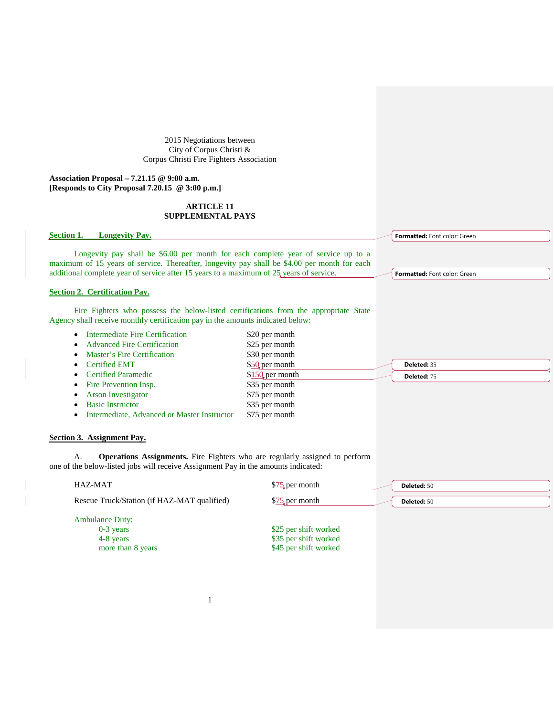2015 Negotiations between City of Corpus Christi & Corpus Christi Fire Fighters Association

**Association Proposal – 7.21.15 @ 9:00 a.m. [Responds to City Proposal 7.20.15 @ 3:00 p.m.]**

### **ARTICLE 11 SUPPLEMENTAL PAYS**

**Section 1. Longevity Pay.** 

Longevity pay shall be \$6.00 per month for each complete year of service up to a maximum of 15 years of service. Thereafter, longevity pay shall be \$4.00 per month for each additional complete year of service after 15 years to a maximum of 25 years of service.

#### **Section 2. Certification Pay.**

Fire Fighters who possess the below-listed certifications from the appropriate State Agency shall receive monthly certification pay in the amounts indicated below:

- Intermediate Fire Certification \$20 per month
- Advanced Fire Certification \$25 per month
- Master's Fire Certification \$30 per month
- **Certified EMT** \$50 per month
- **Certified Paramedic 6 6 \$150 per month**
- Fire Prevention Insp.  $$35$  per month
- Arson Investigator \$75 per month
- Basic Instructor \$35 per month
- Intermediate, Advanced or Master Instructor \$75 per month

## **Section 3. Assignment Pay.**

A. **Operations Assignments.** Fire Fighters who are regularly assigned to perform one of the below-listed jobs will receive Assignment Pay in the amounts indicated:

| HAZ-MAT                                                                 | \$75 per month                                                          | Deleted: 50 |
|-------------------------------------------------------------------------|-------------------------------------------------------------------------|-------------|
| Rescue Truck/Station (if HAZ-MAT qualified)                             | \$75 per month                                                          | Deleted: 50 |
| <b>Ambulance Duty:</b><br>$0-3$ years<br>4-8 years<br>more than 8 years | \$25 per shift worked<br>\$35 per shift worked<br>\$45 per shift worked |             |

**Formatted:** Font color: Green

**Formatted:** Font color: Green

**Deleted:** 35 **Deleted:** 75

1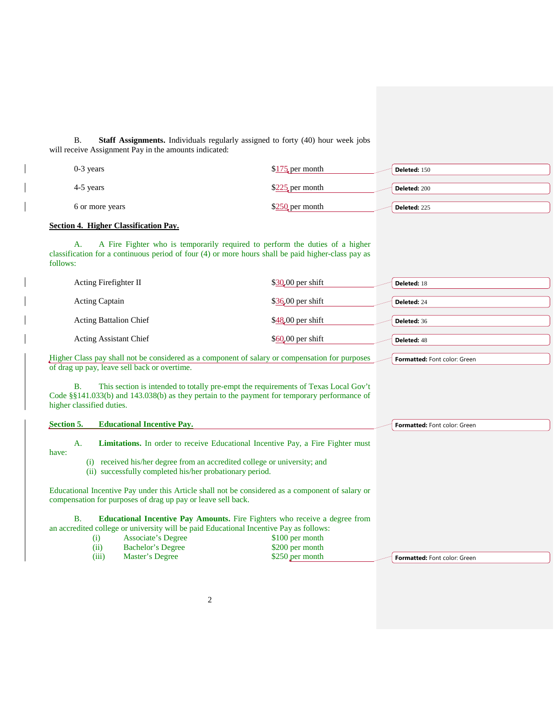B. **Staff Assignments.** Individuals regularly assigned to forty (40) hour week jobs will receive Assignment Pay in the amounts indicated:

| $0-3$ years     | $$175$ per month | Deleted: 150        |
|-----------------|------------------|---------------------|
| 4-5 years       | $$225$ per month | <b>Deleted: 200</b> |
| 6 or more years | $$250$ per month | Deleted: 225        |

# **Section 4. Higher Classification Pay.**

A. A Fire Fighter who is temporarily required to perform the duties of a higher classification for a continuous period of four (4) or more hours shall be paid higher-class pay as follows:

| Acting Firefighter II                                                                     | $$30,00$ per shift | <b>Deleted: 18</b> |
|-------------------------------------------------------------------------------------------|--------------------|--------------------|
| <b>Acting Captain</b>                                                                     | $$36,00$ per shift | Deleted: 24        |
| <b>Acting Battalion Chief</b>                                                             | $$48,00$ per shift | Deleted: 36        |
| <b>Acting Assistant Chief</b>                                                             | $$60,00$ per shift | Deleted: 48        |
| ou Class nou shall not be considered as a component of solary or componentian for numbers |                    | .<br>$\sim$        |

Higher Class pay shall not be considered as a component of salary or compensation for purposes **Formatted:** Font color: Green of drag up pay, leave sell back or overtime.

B. This section is intended to totally pre-empt the requirements of Texas Local Gov't Code §§141.033(b) and 143.038(b) as they pertain to the payment for temporary performance of higher classified duties.

| Section 5.                                                                                                                                        | <b>Educational Incentive Pay.</b>                                                      |                                                                                                  | Formatted: Font color: Green |
|---------------------------------------------------------------------------------------------------------------------------------------------------|----------------------------------------------------------------------------------------|--------------------------------------------------------------------------------------------------|------------------------------|
| А.                                                                                                                                                |                                                                                        | <b>Limitations.</b> In order to receive Educational Incentive Pay, a Fire Fighter must           |                              |
| have:<br>received his/her degree from an accredited college or university; and<br>(1)<br>(ii) successfully completed his/her probationary period. |                                                                                        |                                                                                                  |                              |
|                                                                                                                                                   | compensation for purposes of drag up pay or leave sell back.                           | Educational Incentive Pay under this Article shall not be considered as a component of salary or |                              |
| B.                                                                                                                                                | an accredited college or university will be paid Educational Incentive Pay as follows: | <b>Educational Incentive Pay Amounts.</b> Fire Fighters who receive a degree from                |                              |
|                                                                                                                                                   | Associate's Degree<br>$\left(1\right)$                                                 | \$100 per month                                                                                  |                              |
|                                                                                                                                                   | Bachelor's Degree<br>(11)                                                              | \$200 per month                                                                                  |                              |
|                                                                                                                                                   | (iii)<br>Master's Degree                                                               | \$250 per month                                                                                  | Formatted: Font color: Green |

2